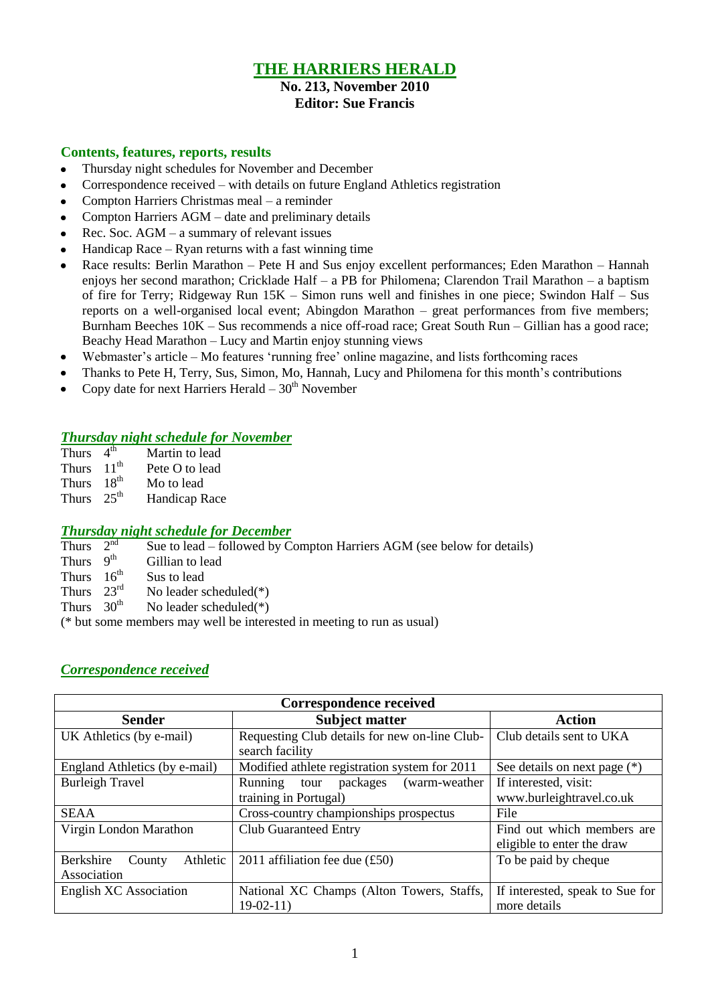# **THE HARRIERS HERALD**

#### **No. 213, November 2010 Editor: Sue Francis**

#### **Contents, features, reports, results**

- Thursday night schedules for November and December  $\bullet$
- Correspondence received with details on future England Athletics registration  $\bullet$
- Compton Harriers Christmas meal a reminder  $\bullet$
- Compton Harriers AGM date and preliminary details
- Rec. Soc. AGM a summary of relevant issues
- Handicap Race Ryan returns with a fast winning time
- Race results: Berlin Marathon Pete H and Sus enjoy excellent performances; Eden Marathon Hannah enjoys her second marathon; Cricklade Half – a PB for Philomena; Clarendon Trail Marathon – a baptism of fire for Terry; Ridgeway Run 15K – Simon runs well and finishes in one piece; Swindon Half – Sus reports on a well-organised local event; Abingdon Marathon – great performances from five members; Burnham Beeches 10K – Sus recommends a nice off-road race; Great South Run – Gillian has a good race; Beachy Head Marathon – Lucy and Martin enjoy stunning views
- Webmaster's article Mo features 'running free' online magazine, and lists forthcoming races  $\bullet$
- Thanks to Pete H, Terry, Sus, Simon, Mo, Hannah, Lucy and Philomena for this month"s contributions
- Copy date for next Harriers Herald  $-30<sup>th</sup>$  November  $\bullet$

#### *Thursday night schedule for November*

- Thurs  $4<sup>th</sup>$ Martin to lead Thurs  $11<sup>th</sup>$  Pete O to lead Thurs  $18<sup>th</sup>$  Mo to lead
- Thurs  $25<sup>th</sup>$ Handicap Race

#### *Thursday night schedule for December*

- Thurs  $2<sup>nd</sup>$ Sue to lead – followed by Compton Harriers AGM (see below for details)
- Thurs 9<sup>th</sup> Gillian to lead
- Thurs  $16^{th}$ Sus to lead
- Thurs  $23<sup>rd</sup>$ No leader scheduled $(*)$
- Thurs  $30<sup>th</sup>$  No leader scheduled(\*)

(\* but some members may well be interested in meeting to run as usual)

#### *Correspondence received*

| <b>Correspondence received</b>                 |                                                                        |                                                          |  |  |  |
|------------------------------------------------|------------------------------------------------------------------------|----------------------------------------------------------|--|--|--|
| <b>Sender</b>                                  | <b>Subject matter</b>                                                  | <b>Action</b>                                            |  |  |  |
| UK Athletics (by e-mail)                       | Requesting Club details for new on-line Club-<br>search facility       | Club details sent to UKA                                 |  |  |  |
| England Athletics (by e-mail)                  | Modified athlete registration system for 2011                          | See details on next page (*)                             |  |  |  |
| <b>Burleigh Travel</b>                         | packages<br>(warm-weather)<br>Running<br>tour<br>training in Portugal) | If interested, visit:<br>www.burleightravel.co.uk        |  |  |  |
| <b>SEAA</b>                                    | Cross-country championships prospectus                                 | File                                                     |  |  |  |
| Virgin London Marathon                         | <b>Club Guaranteed Entry</b>                                           | Find out which members are<br>eligible to enter the draw |  |  |  |
| Berkshire<br>Athletic<br>County<br>Association | 2011 affiliation fee due $(f50)$                                       | To be paid by cheque                                     |  |  |  |
| <b>English XC Association</b>                  | National XC Champs (Alton Towers, Staffs,<br>$19-02-11$                | If interested, speak to Sue for<br>more details          |  |  |  |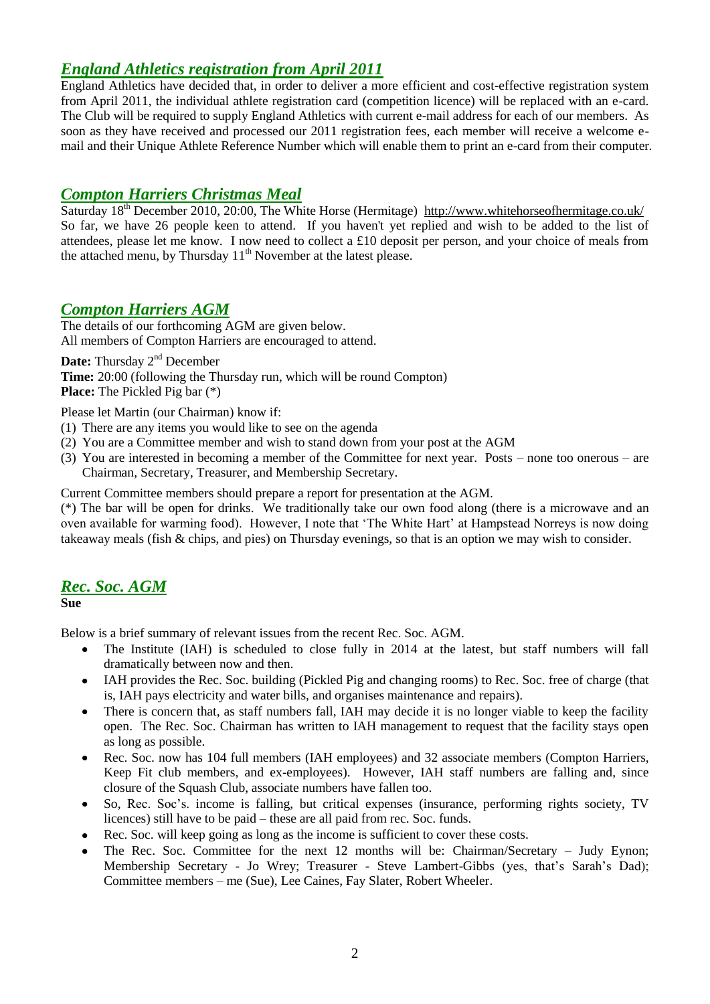### *England Athletics registration from April 2011*

England Athletics have decided that, in order to deliver a more efficient and cost-effective registration system from April 2011, the individual athlete registration card (competition licence) will be replaced with an e-card. The Club will be required to supply England Athletics with current e-mail address for each of our members. As soon as they have received and processed our 2011 registration fees, each member will receive a welcome email and their Unique Athlete Reference Number which will enable them to print an e-card from their computer.

### *Compton Harriers Christmas Meal*

Saturday 18<sup>th</sup> December 2010, 20:00, The White Horse (Hermitage) http://www.whitehorseofhermitage.co.uk/ So far, we have 26 people keen to attend. If you haven't yet replied and wish to be added to the list of attendees, please let me know. I now need to collect a £10 deposit per person, and your choice of meals from the attached menu, by Thursday  $11<sup>th</sup>$  November at the latest please.

# *Compton Harriers AGM*

The details of our forthcoming AGM are given below. All members of Compton Harriers are encouraged to attend.

Date: Thursday 2<sup>nd</sup> December

**Time:** 20:00 (following the Thursday run, which will be round Compton) **Place:** The Pickled Pig bar (\*)

Please let Martin (our Chairman) know if:

- (1) There are any items you would like to see on the agenda
- (2) You are a Committee member and wish to stand down from your post at the AGM
- (3) You are interested in becoming a member of the Committee for next year. Posts none too onerous are Chairman, Secretary, Treasurer, and Membership Secretary.

Current Committee members should prepare a report for presentation at the AGM.

(\*) The bar will be open for drinks. We traditionally take our own food along (there is a microwave and an oven available for warming food). However, I note that "The White Hart" at Hampstead Norreys is now doing takeaway meals (fish & chips, and pies) on Thursday evenings, so that is an option we may wish to consider.

#### *Rec. Soc. AGM*

**Sue**

Below is a brief summary of relevant issues from the recent Rec. Soc. AGM.

- The Institute (IAH) is scheduled to close fully in 2014 at the latest, but staff numbers will fall  $\bullet$ dramatically between now and then.
- IAH provides the Rec. Soc. building (Pickled Pig and changing rooms) to Rec. Soc. free of charge (that  $\bullet$ is, IAH pays electricity and water bills, and organises maintenance and repairs).
- There is concern that, as staff numbers fall, IAH may decide it is no longer viable to keep the facility  $\bullet$ open. The Rec. Soc. Chairman has written to IAH management to request that the facility stays open as long as possible.
- Rec. Soc. now has 104 full members (IAH employees) and 32 associate members (Compton Harriers, Keep Fit club members, and ex-employees). However, IAH staff numbers are falling and, since closure of the Squash Club, associate numbers have fallen too.
- So, Rec. Soc"s. income is falling, but critical expenses (insurance, performing rights society, TV licences) still have to be paid – these are all paid from rec. Soc. funds.
- Rec. Soc. will keep going as long as the income is sufficient to cover these costs.
- The Rec. Soc. Committee for the next 12 months will be: Chairman/Secretary Judy Eynon; Membership Secretary - Jo Wrey; Treasurer - Steve Lambert-Gibbs (yes, that's Sarah's Dad); Committee members – me (Sue), Lee Caines, Fay Slater, Robert Wheeler.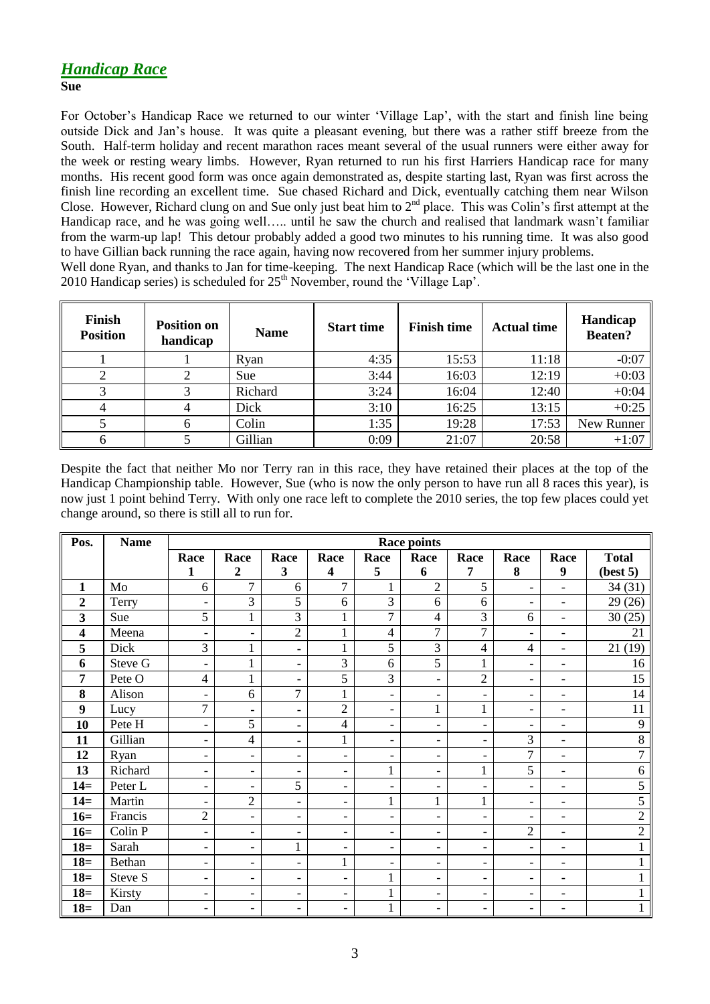# *Handicap Race*

**Sue**

For October"s Handicap Race we returned to our winter "Village Lap", with the start and finish line being outside Dick and Jan"s house. It was quite a pleasant evening, but there was a rather stiff breeze from the South. Half-term holiday and recent marathon races meant several of the usual runners were either away for the week or resting weary limbs. However, Ryan returned to run his first Harriers Handicap race for many months. His recent good form was once again demonstrated as, despite starting last, Ryan was first across the finish line recording an excellent time. Sue chased Richard and Dick, eventually catching them near Wilson Close. However, Richard clung on and Sue only just beat him to 2<sup>nd</sup> place. This was Colin's first attempt at the Handicap race, and he was going well….. until he saw the church and realised that landmark wasn't familiar from the warm-up lap! This detour probably added a good two minutes to his running time. It was also good to have Gillian back running the race again, having now recovered from her summer injury problems. Well done Ryan, and thanks to Jan for time-keeping. The next Handicap Race (which will be the last one in the 2010 Handicap series) is scheduled for  $25<sup>th</sup>$  November, round the 'Village Lap'.

| Finish<br><b>Position</b> | <b>Position on</b><br>handicap | <b>Name</b> | <b>Start time</b> | <b>Finish time</b> | <b>Actual time</b> | Handicap<br><b>Beaten?</b> |
|---------------------------|--------------------------------|-------------|-------------------|--------------------|--------------------|----------------------------|
|                           |                                | Ryan        | 4:35              | 15:53              | 11:18              | $-0:07$                    |
|                           |                                | Sue         | 3:44              | 16:03              | 12:19              | $+0:03$                    |
|                           |                                | Richard     | 3:24              | 16:04              | 12:40              | $+0:04$                    |
|                           |                                | Dick        | 3:10              | 16:25              | 13:15              | $+0:25$                    |
|                           | h.                             | Colin       | 1:35              | 19:28              | 17:53              | New Runner                 |
|                           |                                | Gillian     | 0:09              | 21:07              | 20:58              | $+1:07$                    |

Despite the fact that neither Mo nor Terry ran in this race, they have retained their places at the top of the Handicap Championship table. However, Sue (who is now the only person to have run all 8 races this year), is now just 1 point behind Terry. With only one race left to complete the 2010 series, the top few places could yet change around, so there is still all to run for.

| Pos.                    | <b>Name</b> | <b>Race points</b>       |                          |                          |                          |                          |                              |                          |                          |                          |                |
|-------------------------|-------------|--------------------------|--------------------------|--------------------------|--------------------------|--------------------------|------------------------------|--------------------------|--------------------------|--------------------------|----------------|
|                         |             | Race                     | Race                     | Race                     | Race                     | Race                     | Race                         | Race                     | Race                     | Race                     | <b>Total</b>   |
|                         |             | 1                        | $\boldsymbol{2}$         | 3                        | 4                        | 5                        | 6                            | 7                        | 8                        | 9                        | (best 5)       |
| 1                       | Mo          | 6                        | $\overline{7}$           | 6                        | $\overline{7}$           | 1                        | $\overline{2}$               | 5                        | $\blacksquare$           | $\overline{\phantom{0}}$ | 34(31)         |
| $\overline{2}$          | Terry       | $\overline{\phantom{a}}$ | 3                        | 5                        | 6                        | 3                        | 6                            | 6                        | $\blacksquare$           | $\overline{a}$           | 29(26)         |
| 3                       | Sue         | 5                        | $\mathbf{1}$             | $\overline{3}$           | $\mathbf{1}$             | 7                        | $\overline{4}$               | 3                        | 6                        | $\overline{\phantom{0}}$ | 30(25)         |
| $\overline{\mathbf{4}}$ | Meena       | $\overline{\phantom{a}}$ | $\overline{\phantom{0}}$ | $\overline{2}$           | 1                        | 4                        | $\overline{7}$               | 7                        | $\overline{\phantom{0}}$ | $\overline{a}$           | 21             |
| 5                       | Dick        | $\overline{3}$           | $\mathbf{1}$             | $\blacksquare$           | 1                        | 5                        | 3                            | $\overline{\mathcal{L}}$ | $\overline{4}$           | $\overline{\phantom{0}}$ | 21(19)         |
| 6                       | Steve G     | $\overline{\phantom{a}}$ | $\mathbf{1}$             | $\overline{\phantom{a}}$ | 3                        | 6                        | 5                            | 1                        | $\bar{\phantom{a}}$      | $\overline{\phantom{a}}$ | 16             |
| 7                       | Pete O      | $\overline{4}$           | 1                        | $\blacksquare$           | 5                        | 3                        | $\overline{\phantom{a}}$     | $\overline{2}$           | $\overline{\phantom{a}}$ | $\overline{\phantom{a}}$ | 15             |
| 8                       | Alison      | $\overline{\phantom{a}}$ | 6                        | $\overline{7}$           | 1                        | $\overline{\phantom{0}}$ | $\overline{\phantom{a}}$     | $\overline{a}$           | $\bar{\phantom{a}}$      | $\overline{\phantom{a}}$ | 14             |
| 9                       | Lucy        | $\overline{7}$           | $\blacksquare$           | $\blacksquare$           | $\overline{2}$           | $\overline{\phantom{a}}$ | 1                            | 1                        | $\overline{\phantom{a}}$ | $\overline{\phantom{0}}$ | 11             |
| 10                      | Pete H      | $\overline{\phantom{a}}$ | 5                        | $\blacksquare$           | $\overline{4}$           | $\overline{\phantom{a}}$ | $\overline{\phantom{a}}$     | $\overline{\phantom{0}}$ | $\blacksquare$           | $\overline{a}$           | 9              |
| 11                      | Gillian     | $\overline{\phantom{a}}$ | 4                        | $\blacksquare$           | 1                        | $\overline{\phantom{a}}$ | $\overline{\phantom{0}}$     | $\overline{\phantom{a}}$ | 3                        | $\overline{\phantom{a}}$ | 8              |
| 12                      | Ryan        | $\overline{\phantom{a}}$ | $\overline{\phantom{a}}$ | $\overline{\phantom{a}}$ | $\overline{\phantom{0}}$ | $\qquad \qquad -$        | $\overline{\phantom{0}}$     | $\overline{\phantom{0}}$ | $\overline{7}$           | $\overline{\phantom{a}}$ | 7              |
| 13                      | Richard     | $\overline{\phantom{a}}$ | -                        | $\overline{\phantom{a}}$ | $\overline{\phantom{0}}$ | $\mathbf{1}$             | $\overline{\phantom{a}}$     | $\mathbf{1}$             | 5                        | $\overline{\phantom{a}}$ | 6              |
| $14=$                   | Peter L     | $\overline{\phantom{a}}$ | $\overline{\phantom{a}}$ | 5                        | $\overline{\phantom{0}}$ | $\overline{\phantom{a}}$ | $\overline{\phantom{a}}$     | $\overline{\phantom{a}}$ | $\overline{\phantom{a}}$ | $\overline{\phantom{a}}$ | 5              |
| $14=$                   | Martin      | $\overline{\phantom{a}}$ | $\overline{2}$           | $\blacksquare$           | -                        | $\mathbf{1}$             | $\mathbf{1}$                 | $\mathbf{1}$             | $\blacksquare$           | $\overline{\phantom{a}}$ | 5              |
| $16=$                   | Francis     | $\sqrt{2}$               | $\overline{\phantom{a}}$ | $\overline{\phantom{a}}$ | -                        | $\overline{\phantom{a}}$ | $\overline{\phantom{a}}$     | $\overline{\phantom{a}}$ | $\overline{\phantom{a}}$ | $\overline{\phantom{0}}$ | $\overline{2}$ |
| $16=$                   | Colin P     | $\overline{\phantom{a}}$ | $\overline{\phantom{0}}$ | $\overline{\phantom{a}}$ | -                        | $\overline{\phantom{0}}$ | $\overline{\phantom{a}}$     | $\overline{\phantom{a}}$ | $\overline{2}$           | $\overline{\phantom{a}}$ | $\overline{2}$ |
| $18=$                   | Sarah       | $\overline{\phantom{a}}$ | $\overline{\phantom{0}}$ | $\mathbf{1}$             | -                        | $\overline{\phantom{0}}$ | $\overline{\phantom{a}}$     | -                        | $\overline{\phantom{a}}$ | $\overline{\phantom{a}}$ |                |
| $18=$                   | Bethan      | $\overline{\phantom{a}}$ | $\overline{\phantom{0}}$ | $\overline{\phantom{a}}$ | 1                        | $\overline{\phantom{0}}$ | $\overline{\phantom{a}}$     | $\overline{\phantom{a}}$ | $\overline{\phantom{a}}$ | $\overline{\phantom{a}}$ |                |
| $18=$                   | Steve S     | $\overline{\phantom{a}}$ | $\overline{\phantom{0}}$ | $\overline{\phantom{a}}$ | $\overline{\phantom{0}}$ | $\mathbf{1}$             | $\overline{\phantom{a}}$     | $\overline{\phantom{a}}$ | $\overline{\phantom{a}}$ | $\blacksquare$           |                |
| $18=$                   | Kirsty      | $\overline{\phantom{a}}$ | $\overline{\phantom{0}}$ | $\overline{\phantom{a}}$ | -                        | $\mathbf{1}$             | $\overline{\phantom{a}}$     | $\overline{\phantom{a}}$ | $\overline{\phantom{a}}$ | $\overline{\phantom{a}}$ |                |
| $18=$                   | Dan         | $\overline{\phantom{0}}$ | $\overline{\phantom{0}}$ | $\overline{\phantom{a}}$ | -                        | $\mathbf{1}$             | $\qquad \qquad \blacksquare$ | $\overline{\phantom{0}}$ | $\overline{\phantom{0}}$ | $\overline{a}$           |                |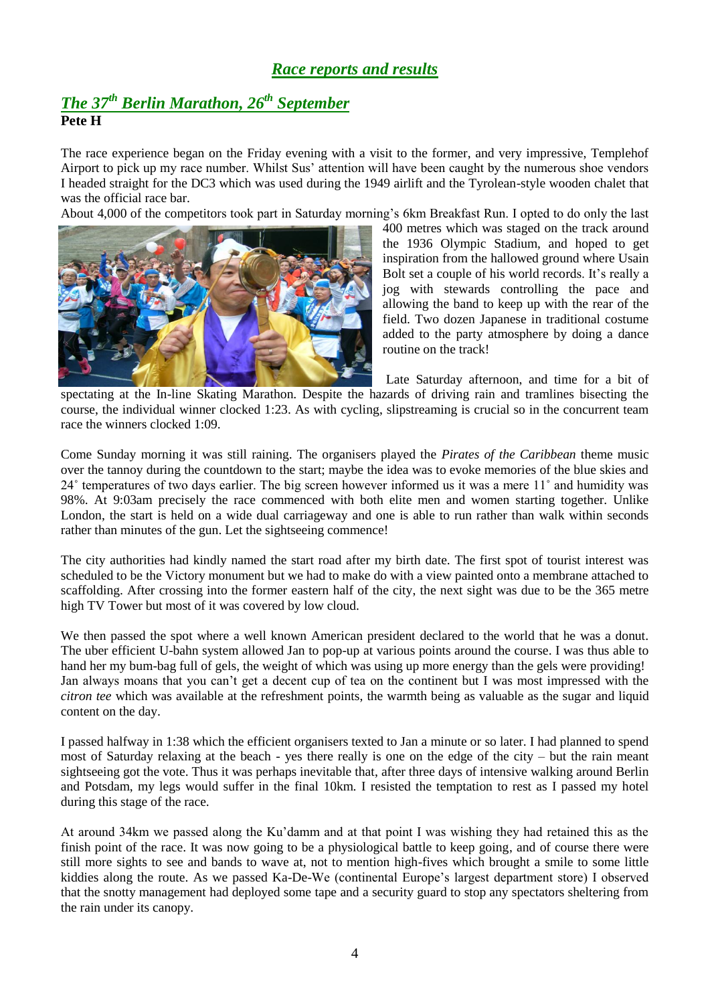## *Race reports and results*

# *The 37 th Berlin Marathon, 26th September* **Pete H**

The race experience began on the Friday evening with a visit to the former, and very impressive, Templehof Airport to pick up my race number. Whilst Sus" attention will have been caught by the numerous shoe vendors I headed straight for the DC3 which was used during the 1949 airlift and the Tyrolean-style wooden chalet that was the official race bar.

About 4,000 of the competitors took part in Saturday morning"s 6km Breakfast Run. I opted to do only the last



400 metres which was staged on the track around the 1936 Olympic Stadium, and hoped to get inspiration from the hallowed ground where Usain Bolt set a couple of his world records. It's really a jog with stewards controlling the pace and allowing the band to keep up with the rear of the field. Two dozen Japanese in traditional costume added to the party atmosphere by doing a dance routine on the track!

Late Saturday afternoon, and time for a bit of

spectating at the In-line Skating Marathon. Despite the hazards of driving rain and tramlines bisecting the course, the individual winner clocked 1:23. As with cycling, slipstreaming is crucial so in the concurrent team race the winners clocked 1:09.

Come Sunday morning it was still raining. The organisers played the *Pirates of the Caribbean* theme music over the tannoy during the countdown to the start; maybe the idea was to evoke memories of the blue skies and 24˚ temperatures of two days earlier. The big screen however informed us it was a mere 11˚ and humidity was 98%. At 9:03am precisely the race commenced with both elite men and women starting together. Unlike London, the start is held on a wide dual carriageway and one is able to run rather than walk within seconds rather than minutes of the gun. Let the sightseeing commence!

The city authorities had kindly named the start road after my birth date. The first spot of tourist interest was scheduled to be the Victory monument but we had to make do with a view painted onto a membrane attached to scaffolding. After crossing into the former eastern half of the city, the next sight was due to be the 365 metre high TV Tower but most of it was covered by low cloud.

We then passed the spot where a well known American president declared to the world that he was a donut. The uber efficient U-bahn system allowed Jan to pop-up at various points around the course. I was thus able to hand her my bum-bag full of gels, the weight of which was using up more energy than the gels were providing! Jan always moans that you can"t get a decent cup of tea on the continent but I was most impressed with the *citron tee* which was available at the refreshment points, the warmth being as valuable as the sugar and liquid content on the day.

I passed halfway in 1:38 which the efficient organisers texted to Jan a minute or so later. I had planned to spend most of Saturday relaxing at the beach - yes there really is one on the edge of the city – but the rain meant sightseeing got the vote. Thus it was perhaps inevitable that, after three days of intensive walking around Berlin and Potsdam, my legs would suffer in the final 10km. I resisted the temptation to rest as I passed my hotel during this stage of the race.

At around 34km we passed along the Ku"damm and at that point I was wishing they had retained this as the finish point of the race. It was now going to be a physiological battle to keep going, and of course there were still more sights to see and bands to wave at, not to mention high-fives which brought a smile to some little kiddies along the route. As we passed Ka-De-We (continental Europe"s largest department store) I observed that the snotty management had deployed some tape and a security guard to stop any spectators sheltering from the rain under its canopy.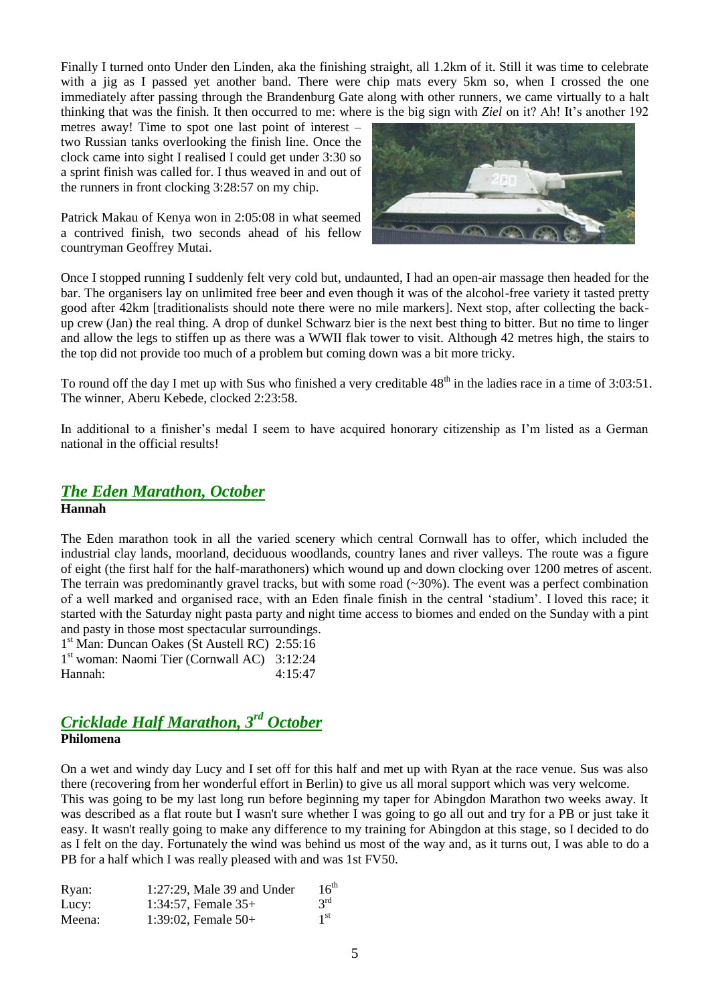Finally I turned onto Under den Linden, aka the finishing straight, all 1.2km of it. Still it was time to celebrate with a jig as I passed yet another band. There were chip mats every 5km so, when I crossed the one immediately after passing through the Brandenburg Gate along with other runners, we came virtually to a halt thinking that was the finish. It then occurred to me: where is the big sign with *Ziel* on it? Ah! It's another 192

metres away! Time to spot one last point of interest – two Russian tanks overlooking the finish line. Once the clock came into sight I realised I could get under 3:30 so a sprint finish was called for. I thus weaved in and out of the runners in front clocking 3:28:57 on my chip.

Patrick Makau of Kenya won in 2:05:08 in what seemed a contrived finish, two seconds ahead of his fellow countryman Geoffrey Mutai.



Once I stopped running I suddenly felt very cold but, undaunted, I had an open-air massage then headed for the bar. The organisers lay on unlimited free beer and even though it was of the alcohol-free variety it tasted pretty good after 42km [traditionalists should note there were no mile markers]. Next stop, after collecting the backup crew (Jan) the real thing. A drop of dunkel Schwarz bier is the next best thing to bitter. But no time to linger and allow the legs to stiffen up as there was a WWII flak tower to visit. Although 42 metres high, the stairs to the top did not provide too much of a problem but coming down was a bit more tricky.

To round off the day I met up with Sus who finished a very creditable 48<sup>th</sup> in the ladies race in a time of 3:03:51. The winner, Aberu Kebede, clocked 2:23:58.

In additional to a finisher's medal I seem to have acquired honorary citizenship as I'm listed as a German national in the official results!

#### *The Eden Marathon, October* **Hannah**

The Eden marathon took in all the varied scenery which central Cornwall has to offer, which included the industrial clay lands, moorland, deciduous woodlands, country lanes and river valleys. The route was a figure of eight (the first half for the half-marathoners) which wound up and down clocking over 1200 metres of ascent. The terrain was predominantly gravel tracks, but with some road  $(\sim 30\%)$ . The event was a perfect combination of a well marked and organised race, with an Eden finale finish in the central "stadium". I loved this race; it started with the Saturday night pasta party and night time access to biomes and ended on the Sunday with a pint and pasty in those most spectacular surroundings.

1 st Man: Duncan Oakes (St Austell RC) 2:55:16 1 st woman: Naomi Tier (Cornwall AC) 3:12:24 Hannah: 4:15:47

### *Cricklade Half Marathon, 3rd October* **Philomena**

On a wet and windy day Lucy and I set off for this half and met up with Ryan at the race venue. Sus was also there (recovering from her wonderful effort in Berlin) to give us all moral support which was very welcome. This was going to be my last long run before beginning my taper for Abingdon Marathon two weeks away. It was described as a flat route but I wasn't sure whether I was going to go all out and try for a PB or just take it easy. It wasn't really going to make any difference to my training for Abingdon at this stage, so I decided to do as I felt on the day. Fortunately the wind was behind us most of the way and, as it turns out, I was able to do a PB for a half which I was really pleased with and was 1st FV50.

| Ryan:  | $1:27:29$ , Male 39 and Under | $16^{\text{th}}$ |
|--------|-------------------------------|------------------|
| Lucy:  | 1:34:57, Female $35+$         | $3^{\text{rd}}$  |
| Meena: | 1:39:02, Female $50+$         | 1 <sup>st</sup>  |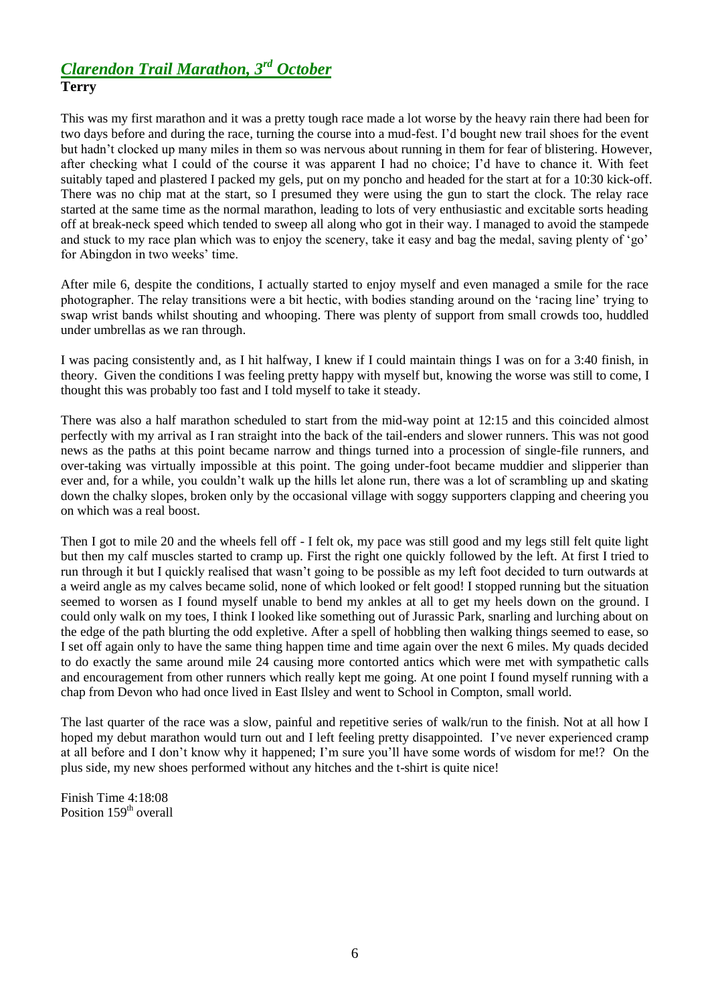# *Clarendon Trail Marathon, 3rd October* **Terry**

This was my first marathon and it was a pretty tough race made a lot worse by the heavy rain there had been for two days before and during the race, turning the course into a mud-fest. I"d bought new trail shoes for the event but hadn"t clocked up many miles in them so was nervous about running in them for fear of blistering. However, after checking what I could of the course it was apparent I had no choice; I"d have to chance it. With feet suitably taped and plastered I packed my gels, put on my poncho and headed for the start at for a 10:30 kick-off. There was no chip mat at the start, so I presumed they were using the gun to start the clock. The relay race started at the same time as the normal marathon, leading to lots of very enthusiastic and excitable sorts heading off at break-neck speed which tended to sweep all along who got in their way. I managed to avoid the stampede and stuck to my race plan which was to enjoy the scenery, take it easy and bag the medal, saving plenty of "go" for Abingdon in two weeks' time.

After mile 6, despite the conditions, I actually started to enjoy myself and even managed a smile for the race photographer. The relay transitions were a bit hectic, with bodies standing around on the "racing line" trying to swap wrist bands whilst shouting and whooping. There was plenty of support from small crowds too, huddled under umbrellas as we ran through.

I was pacing consistently and, as I hit halfway, I knew if I could maintain things I was on for a 3:40 finish, in theory. Given the conditions I was feeling pretty happy with myself but, knowing the worse was still to come, I thought this was probably too fast and I told myself to take it steady.

There was also a half marathon scheduled to start from the mid-way point at 12:15 and this coincided almost perfectly with my arrival as I ran straight into the back of the tail-enders and slower runners. This was not good news as the paths at this point became narrow and things turned into a procession of single-file runners, and over-taking was virtually impossible at this point. The going under-foot became muddier and slipperier than ever and, for a while, you couldn"t walk up the hills let alone run, there was a lot of scrambling up and skating down the chalky slopes, broken only by the occasional village with soggy supporters clapping and cheering you on which was a real boost.

Then I got to mile 20 and the wheels fell off - I felt ok, my pace was still good and my legs still felt quite light but then my calf muscles started to cramp up. First the right one quickly followed by the left. At first I tried to run through it but I quickly realised that wasn"t going to be possible as my left foot decided to turn outwards at a weird angle as my calves became solid, none of which looked or felt good! I stopped running but the situation seemed to worsen as I found myself unable to bend my ankles at all to get my heels down on the ground. I could only walk on my toes, I think I looked like something out of Jurassic Park, snarling and lurching about on the edge of the path blurting the odd expletive. After a spell of hobbling then walking things seemed to ease, so I set off again only to have the same thing happen time and time again over the next 6 miles. My quads decided to do exactly the same around mile 24 causing more contorted antics which were met with sympathetic calls and encouragement from other runners which really kept me going. At one point I found myself running with a chap from Devon who had once lived in East Ilsley and went to School in Compton, small world.

The last quarter of the race was a slow, painful and repetitive series of walk/run to the finish. Not at all how I hoped my debut marathon would turn out and I left feeling pretty disappointed. I"ve never experienced cramp at all before and I don"t know why it happened; I"m sure you"ll have some words of wisdom for me!? On the plus side, my new shoes performed without any hitches and the t-shirt is quite nice!

Finish Time 4:18:08 Position 159<sup>th</sup> overall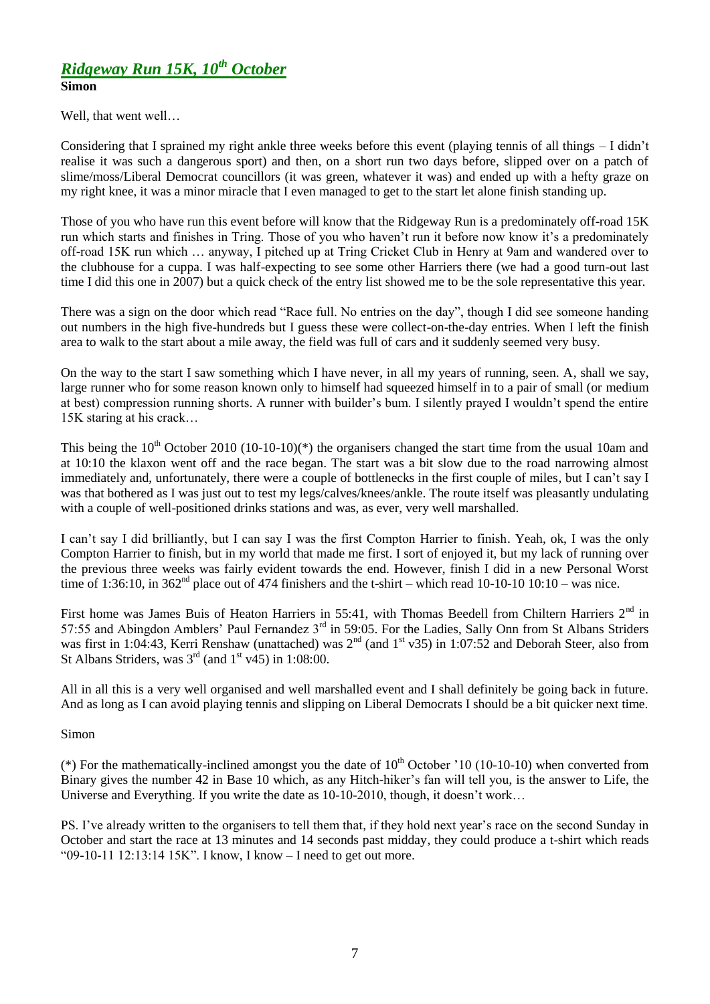### *Ridgeway Run 15K, 10th October* **Simon**

Well, that went well…

Considering that I sprained my right ankle three weeks before this event (playing tennis of all things – I didn"t realise it was such a dangerous sport) and then, on a short run two days before, slipped over on a patch of slime/moss/Liberal Democrat councillors (it was green, whatever it was) and ended up with a hefty graze on my right knee, it was a minor miracle that I even managed to get to the start let alone finish standing up.

Those of you who have run this event before will know that the Ridgeway Run is a predominately off-road 15K run which starts and finishes in Tring. Those of you who haven"t run it before now know it"s a predominately off-road 15K run which … anyway, I pitched up at Tring Cricket Club in Henry at 9am and wandered over to the clubhouse for a cuppa. I was half-expecting to see some other Harriers there (we had a good turn-out last time I did this one in 2007) but a quick check of the entry list showed me to be the sole representative this year.

There was a sign on the door which read "Race full. No entries on the day", though I did see someone handing out numbers in the high five-hundreds but I guess these were collect-on-the-day entries. When I left the finish area to walk to the start about a mile away, the field was full of cars and it suddenly seemed very busy.

On the way to the start I saw something which I have never, in all my years of running, seen. A, shall we say, large runner who for some reason known only to himself had squeezed himself in to a pair of small (or medium at best) compression running shorts. A runner with builder"s bum. I silently prayed I wouldn"t spend the entire 15K staring at his crack…

This being the  $10^{th}$  October 2010 (10-10-10)(\*) the organisers changed the start time from the usual 10am and at 10:10 the klaxon went off and the race began. The start was a bit slow due to the road narrowing almost immediately and, unfortunately, there were a couple of bottlenecks in the first couple of miles, but I can"t say I was that bothered as I was just out to test my legs/calves/knees/ankle. The route itself was pleasantly undulating with a couple of well-positioned drinks stations and was, as ever, very well marshalled.

I can"t say I did brilliantly, but I can say I was the first Compton Harrier to finish. Yeah, ok, I was the only Compton Harrier to finish, but in my world that made me first. I sort of enjoyed it, but my lack of running over the previous three weeks was fairly evident towards the end. However, finish I did in a new Personal Worst time of 1:36:10, in  $362<sup>nd</sup>$  place out of 474 finishers and the t-shirt – which read 10-10-10 10:10 – was nice.

First home was James Buis of Heaton Harriers in 55:41, with Thomas Beedell from Chiltern Harriers 2<sup>nd</sup> in 57:55 and Abingdon Amblers' Paul Fernandez 3<sup>rd</sup> in 59:05. For the Ladies, Sally Onn from St Albans Striders was first in 1:04:43, Kerri Renshaw (unattached) was  $2^{nd}$  (and  $1^{st}$  v35) in 1:07:52 and Deborah Steer, also from St Albans Striders, was  $3<sup>rd</sup>$  (and  $1<sup>st</sup>$  v45) in 1:08:00.

All in all this is a very well organised and well marshalled event and I shall definitely be going back in future. And as long as I can avoid playing tennis and slipping on Liberal Democrats I should be a bit quicker next time.

Simon

(\*) For the mathematically-inclined amongst you the date of  $10<sup>th</sup>$  October  $10(10-10-10)$  when converted from Binary gives the number 42 in Base 10 which, as any Hitch-hiker's fan will tell you, is the answer to Life, the Universe and Everything. If you write the date as 10-10-2010, though, it doesn't work...

PS. I've already written to the organisers to tell them that, if they hold next year's race on the second Sunday in October and start the race at 13 minutes and 14 seconds past midday, they could produce a t-shirt which reads "09-10-11 12:13:14 15K". I know, I know – I need to get out more.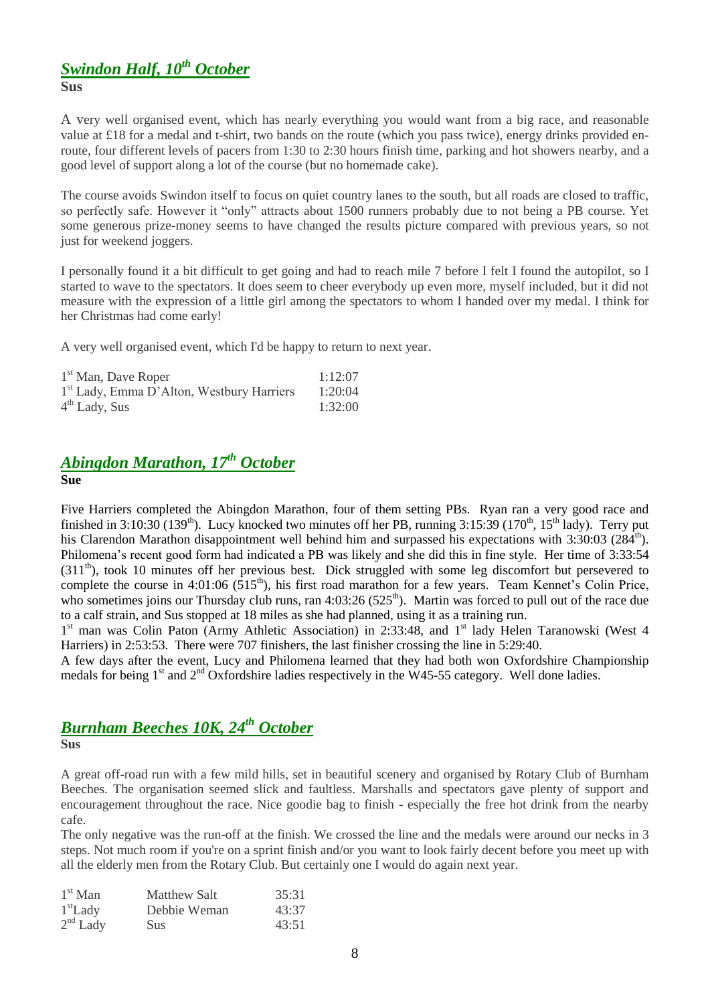#### *Swindon Half, 10th October* **Sus**

A very well organised event, which has nearly everything you would want from a big race, and reasonable value at £18 for a medal and t-shirt, two bands on the route (which you pass twice), energy drinks provided enroute, four different levels of pacers from 1:30 to 2:30 hours finish time, parking and hot showers nearby, and a good level of support along a lot of the course (but no homemade cake).

The course avoids Swindon itself to focus on quiet country lanes to the south, but all roads are closed to traffic, so perfectly safe. However it "only" attracts about 1500 runners probably due to not being a PB course. Yet some generous prize-money seems to have changed the results picture compared with previous years, so not just for weekend joggers.

I personally found it a bit difficult to get going and had to reach mile 7 before I felt I found the autopilot, so I started to wave to the spectators. It does seem to cheer everybody up even more, myself included, but it did not measure with the expression of a little girl among the spectators to whom I handed over my medal. I think for her Christmas had come early!

A very well organised event, which I'd be happy to return to next year.

| 1 <sup>st</sup> Man, Dave Roper                       | 1:12:07 |
|-------------------------------------------------------|---------|
| 1 <sup>st</sup> Lady, Emma D'Alton, Westbury Harriers | 1:20:04 |
| $4th$ Lady, Sus                                       | 1:32:00 |

# *Abingdon Marathon, 17th October*

#### **Sue**

Five Harriers completed the Abingdon Marathon, four of them setting PBs. Ryan ran a very good race and finished in  $3:10:30(139<sup>th</sup>)$ . Lucy knocked two minutes off her PB, running  $3:15:39(170<sup>th</sup>, 15<sup>th</sup>$  lady). Terry put his Clarendon Marathon disappointment well behind him and surpassed his expectations with 3:30:03 (284<sup>th</sup>). Philomena"s recent good form had indicated a PB was likely and she did this in fine style. Her time of 3:33:54  $(311<sup>th</sup>)$ , took 10 minutes off her previous best. Dick struggled with some leg discomfort but persevered to complete the course in 4:01:06 (515<sup>th</sup>), his first road marathon for a few years. Team Kennet's Colin Price, who sometimes joins our Thursday club runs, ran  $4:03:26$  (525<sup>th</sup>). Martin was forced to pull out of the race due to a calf strain, and Sus stopped at 18 miles as she had planned, using it as a training run.

1<sup>st</sup> man was Colin Paton (Army Athletic Association) in 2:33:48, and 1<sup>st</sup> lady Helen Taranowski (West 4 Harriers) in 2:53:53. There were 707 finishers, the last finisher crossing the line in 5:29:40.

A few days after the event, Lucy and Philomena learned that they had both won Oxfordshire Championship medals for being 1<sup>st</sup> and 2<sup>nd</sup> Oxfordshire ladies respectively in the W45-55 category. Well done ladies.

# *Burnham Beeches 10K, 24th October*

**Sus**

A great off-road run with a few mild hills, set in beautiful scenery and organised by Rotary Club of Burnham Beeches. The organisation seemed slick and faultless. Marshalls and spectators gave plenty of support and encouragement throughout the race. Nice goodie bag to finish - especially the free hot drink from the nearby cafe.

The only negative was the run-off at the finish. We crossed the line and the medals were around our necks in 3 steps. Not much room if you're on a sprint finish and/or you want to look fairly decent before you meet up with all the elderly men from the Rotary Club. But certainly one I would do again next year.

| $1st$ Man  | Matthew Salt | 35:31 |
|------------|--------------|-------|
| $1st$ Lady | Debbie Weman | 43:37 |
| $2nd$ Lady | <b>Sus</b>   | 43:51 |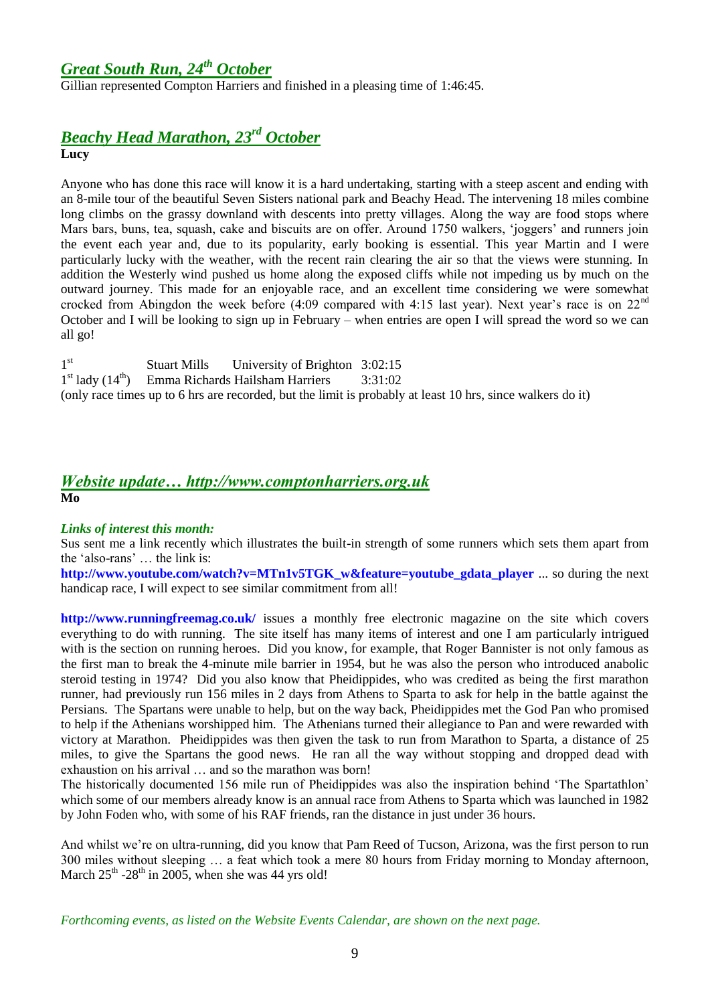# *Great South Run, 24th October*

Gillian represented Compton Harriers and finished in a pleasing time of 1:46:45.

# *Beachy Head Marathon, 23 rd October*

**Lucy**

Anyone who has done this race will know it is a hard undertaking, starting with a steep ascent and ending with an 8-mile tour of the beautiful Seven Sisters national park and Beachy Head. The intervening 18 miles combine long climbs on the grassy downland with descents into pretty villages. Along the way are food stops where Mars bars, buns, tea, squash, cake and biscuits are on offer. Around 1750 walkers, "joggers" and runners join the event each year and, due to its popularity, early booking is essential. This year Martin and I were particularly lucky with the weather, with the recent rain clearing the air so that the views were stunning. In addition the Westerly wind pushed us home along the exposed cliffs while not impeding us by much on the outward journey. This made for an enjoyable race, and an excellent time considering we were somewhat crocked from Abingdon the week before (4:09 compared with 4:15 last year). Next year's race is on 22<sup>nd</sup> October and I will be looking to sign up in February – when entries are open I will spread the word so we can all go!

 $1<sup>st</sup>$ Stuart Mills University of Brighton 3:02:15 1<sup>st</sup> lady (14<sup>th</sup>) Emma Richards Hailsham Harriers 3:31:02 (only race times up to 6 hrs are recorded, but the limit is probably at least 10 hrs, since walkers do it)

#### *Website update… http://www.comptonharriers.org.uk* **Mo**

#### *Links of interest this month:*

Sus sent me a link recently which illustrates the built-in strength of some runners which sets them apart from the "also-rans" … the link is:

**[http://www.youtube.com/watch?v=MTn1v5TGK\\_w&feature=youtube\\_gdata\\_player](http://www.youtube.com/watch?v=MTn1v5TGK_w&feature=youtube_gdata_player%20)** ... so during the next handicap race, I will expect to see similar commitment from all!

**<http://www.runningfreemag.co.uk/>** issues a monthly free electronic magazine on the site which covers everything to do with running. The site itself has many items of interest and one I am particularly intrigued with is the section on running heroes. Did you know, for example, that Roger Bannister is not only famous as the first man to break the 4-minute mile barrier in 1954, but he was also the person who introduced anabolic steroid testing in 1974? Did you also know that Pheidippides, who was credited as being the first marathon runner, had previously run 156 miles in 2 days from Athens to Sparta to ask for help in the battle against the Persians. The Spartans were unable to help, but on the way back, Pheidippides met the God Pan who promised to help if the Athenians worshipped him. The Athenians turned their allegiance to Pan and were rewarded with victory at Marathon. Pheidippides was then given the task to run from Marathon to Sparta, a distance of 25 miles, to give the Spartans the good news. He ran all the way without stopping and dropped dead with exhaustion on his arrival … and so the marathon was born!

The historically documented 156 mile run of Pheidippides was also the inspiration behind "The Spartathlon" which some of our members already know is an annual race from Athens to Sparta which was launched in 1982 by John Foden who, with some of his RAF friends, ran the distance in just under 36 hours.

And whilst we're on ultra-running, did you know that Pam Reed of Tucson, Arizona, was the first person to run 300 miles without sleeping … a feat which took a mere 80 hours from Friday morning to Monday afternoon, March  $25<sup>th</sup> - 28<sup>th</sup>$  in 2005, when she was 44 yrs old!

*Forthcoming events, as listed on the Website Events Calendar, are shown on the next page.*